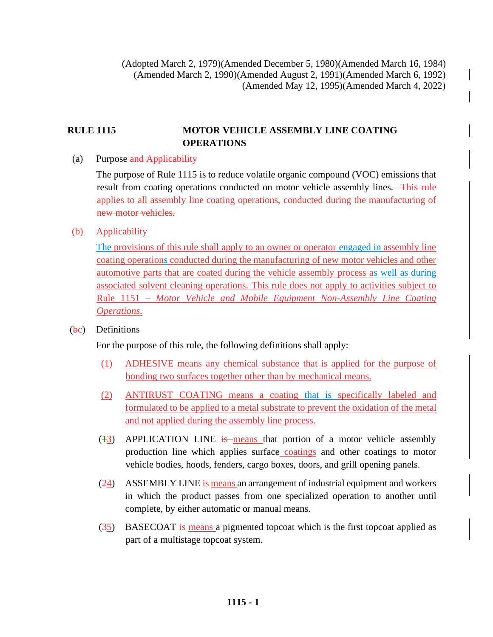(Adopted March 2, 1979)(Amended December 5, 1980)(Amended March 16, 1984) (Amended March 2, 1990)(Amended August 2, 1991)(Amended March 6, 1992) (Amended May 12, 1995)(Amended March 4, 2022)

## **RULE 1115 MOTOR VEHICLE ASSEMBLY LINE COATING OPERATIONS**

(a) Purpose<del> and Applicability</del>

The purpose of Rule 1115 is to reduce volatile organic compound (VOC) emissions that result from coating operations conducted on motor vehicle assembly lines.—This rule applies to all assembly line coating operations, conducted during the manufacturing of new motor vehicles.

(b) Applicability

The provisions of this rule shall apply to an owner or operator engaged in assembly line coating operations conducted during the manufacturing of new motor vehicles and other automotive parts that are coated during the vehicle assembly process as well as during associated solvent cleaning operations. This rule does not apply to activities subject to Rule 1151 – *Motor Vehicle and Mobile Equipment Non-Assembly Line Coating Operations*.

(bc) Definitions

For the purpose of this rule, the following definitions shall apply:

- (1) ADHESIVE means any chemical substance that is applied for the purpose of bonding two surfaces together other than by mechanical means.
- (2) ANTIRUST COATING means a coating that is specifically labeled and formulated to be applied to a metal substrate to prevent the oxidation of the metal and not applied during the assembly line process.
- $(13)$  APPLICATION LINE is means that portion of a motor vehicle assembly production line which applies surface coatings and other coatings to motor vehicle bodies, hoods, fenders, cargo boxes, doors, and grill opening panels.
- (24) ASSEMBLY LINE is means an arrangement of industrial equipment and workers in which the product passes from one specialized operation to another until complete, by either automatic or manual means.
- $(35)$  BASECOAT is means a pigmented topcoat which is the first topcoat applied as part of a multistage topcoat system.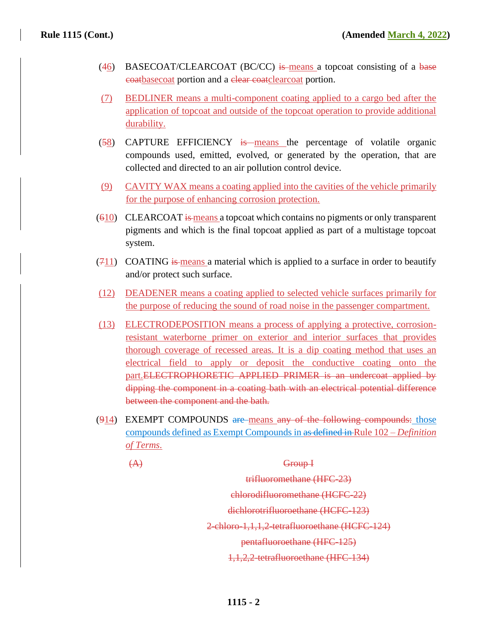- (46) BASECOAT/CLEARCOAT (BC/CC) is means a topcoat consisting of a base coatbasecoat portion and a clear coatclearcoat portion.
- (7) BEDLINER means a multi-component coating applied to a cargo bed after the application of topcoat and outside of the topcoat operation to provide additional durability.
- (58) CAPTURE EFFICIENCY is means the percentage of volatile organic compounds used, emitted, evolved, or generated by the operation, that are collected and directed to an air pollution control device.
- (9) CAVITY WAX means a coating applied into the cavities of the vehicle primarily for the purpose of enhancing corrosion protection.
- (610) CLEARCOAT is means a topcoat which contains no pigments or only transparent pigments and which is the final topcoat applied as part of a multistage topcoat system.
- $(711)$  COATING is means a material which is applied to a surface in order to beautify and/or protect such surface.
- (12) DEADENER means a coating applied to selected vehicle surfaces primarily for the purpose of reducing the sound of road noise in the passenger compartment.
- (13) ELECTRODEPOSITION means a process of applying a protective, corrosionresistant waterborne primer on exterior and interior surfaces that provides thorough coverage of recessed areas. It is a dip coating method that uses an electrical field to apply or deposit the conductive coating onto the part.ELECTROPHORETIC APPLIED PRIMER is an undercoat applied by dipping the component in a coating bath with an electrical potential difference between the component and the bath.
- $(914)$  EXEMPT COMPOUNDS are means any of the following compounds: those compounds defined as Exempt Compounds in as defined in Rule 102 – *Definition of Terms*.

(A) Group I

trifluoromethane (HFC-23) chlorodifluoromethane (HCFC-22) dichlorotrifluoroethane (HCFC-123) 2-chloro-1,1,1,2-tetrafluoroethane (HCFC-124) pentafluoroethane (HFC-125) 1,1,2,2-tetrafluoroethane (HFC-134)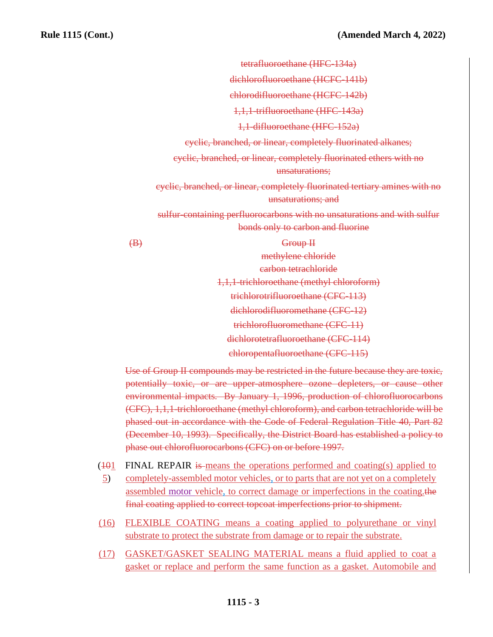|     | tetrafluoroethane (HFC-134a)                                                |
|-----|-----------------------------------------------------------------------------|
|     | dichlorofluoroethane (HCFC-141b)                                            |
|     | ehlorodifluoroethane (HCFC-142b)                                            |
|     | 1,1,1-trifluoroethane (HFC-143a)                                            |
|     | 1,1-difluoroethane (HFC-152a)                                               |
|     | eyclic, branched, or linear, completely fluorinated alkanes;                |
|     | eyclic, branched, or linear, completely fluorinated ethers with no          |
|     | unsaturations:                                                              |
|     | eyelic, branched, or linear, completely fluorinated tertiary amines with no |
|     | unsaturations; and                                                          |
|     | sulfur-containing perfluorocarbons with no unsaturations and with sulfur    |
|     | bonds only to carbon and fluorine                                           |
| (B) | Group H                                                                     |
|     | methylene chloride                                                          |
|     | earbon tetrachloride                                                        |
|     | 1,1,1-trichloroethane (methyl chloroform)                                   |
|     | trichlorotrifluoroethane (CFC-113)                                          |
|     | dichlorodifluoromethane (CFC-12)                                            |
|     | trichlorofluoromethane (CFC-11)                                             |
|     | dichlorotetrafluoroethane (CFC-114)                                         |
|     | chloropentafluoroethane (CFC-115)                                           |

Use of Group II compounds may be restricted in the future because they are toxic, potentially toxic, or are upper-atmosphere ozone depleters, or cause other environmental impacts. By January 1, 1996, production of chlorofluorocarbons (CFC), 1,1,1-trichloroethane (methyl chloroform), and carbon tetrachloride will be phased out in accordance with the Code of Federal Regulation Title 40, Part 82 (December 10, 1993). Specifically, the District Board has established a policy to phase out chlorofluorocarbons (CFC) on or before 1997.

- $(401)$ 5) FINAL REPAIR is means the operations performed and coating(s) applied to completely-assembled motor vehicles, or to parts that are not yet on a completely assembled motor vehicle, to correct damage or imperfections in the coating.the final coating applied to correct topcoat imperfections prior to shipment.
- (16) FLEXIBLE COATING means a coating applied to polyurethane or vinyl substrate to protect the substrate from damage or to repair the substrate.
- (17) GASKET/GASKET SEALING MATERIAL means a fluid applied to coat a gasket or replace and perform the same function as a gasket. Automobile and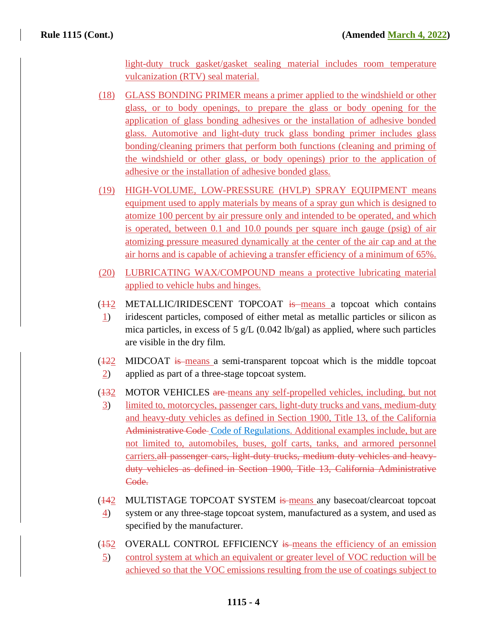light-duty truck gasket/gasket sealing material includes room temperature vulcanization (RTV) seal material.

- (18) GLASS BONDING PRIMER means a primer applied to the windshield or other glass, or to body openings, to prepare the glass or body opening for the application of glass bonding adhesives or the installation of adhesive bonded glass. Automotive and light-duty truck glass bonding primer includes glass bonding/cleaning primers that perform both functions (cleaning and priming of the windshield or other glass, or body openings) prior to the application of adhesive or the installation of adhesive bonded glass.
- (19) HIGH-VOLUME, LOW-PRESSURE (HVLP) SPRAY EQUIPMENT means equipment used to apply materials by means of a spray gun which is designed to atomize 100 percent by air pressure only and intended to be operated, and which is operated, between 0.1 and 10.0 pounds per square inch gauge (psig) of air atomizing pressure measured dynamically at the center of the air cap and at the air horns and is capable of achieving a transfer efficiency of a minimum of 65%.
- (20) LUBRICATING WAX/COMPOUND means a protective lubricating material applied to vehicle hubs and hinges.
- $(112)$ 1) METALLIC/IRIDESCENT TOPCOAT is means a topcoat which contains iridescent particles, composed of either metal as metallic particles or silicon as mica particles, in excess of 5 g/L  $(0.042 \text{ lb/gal})$  as applied, where such particles are visible in the dry film.
- $(122)$ 2) MIDCOAT is means a semi-transparent topcoat which is the middle topcoat applied as part of a three-stage topcoat system.
- $(132)$ MOTOR VEHICLES are means any self-propelled vehicles, including, but not
- 3) limited to, motorcycles, passenger cars, light-duty trucks and vans, medium-duty and heavy-duty vehicles as defined in Section 1900, Title 13, of the California Administrative Code Code of Regulations. Additional examples include, but are not limited to, automobiles, buses, golf carts, tanks, and armored personnel carriers.all passenger cars, light-duty trucks, medium duty vehicles and heavyduty vehicles as defined in Section 1900, Title 13, California Administrative Code.
- $(142)$ MULTISTAGE TOPCOAT SYSTEM is means any basecoat/clearcoat topcoat
- 4) system or any three-stage topcoat system, manufactured as a system, and used as specified by the manufacturer.
- (452 OVERALL CONTROL EFFICIENCY is means the efficiency of an emission 5) control system at which an equivalent or greater level of VOC reduction will be achieved so that the VOC emissions resulting from the use of coatings subject to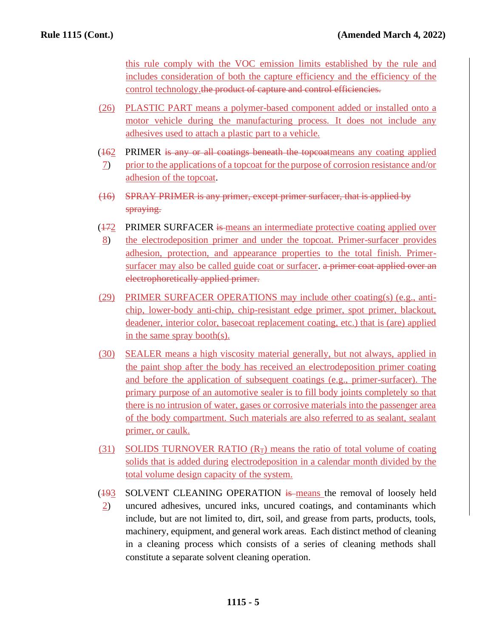this rule comply with the VOC emission limits established by the rule and includes consideration of both the capture efficiency and the efficiency of the control technology.the product of capture and control efficiencies.

- (26) PLASTIC PART means a polymer-based component added or installed onto a motor vehicle during the manufacturing process. It does not include any adhesives used to attach a plastic part to a vehicle.
- $(162)$ PRIMER is any or all coatings beneath the topcoatmeans any coating applied
- 7) prior to the applications of a topcoat for the purpose of corrosion resistance and/or adhesion of the topcoat.
- (16) SPRAY PRIMER is any primer, except primer surfacer, that is applied by spraying.
- $(1 72)$ **PRIMER SURFACER is means an intermediate protective coating applied over**
- 8) the electrodeposition primer and under the topcoat. Primer-surfacer provides adhesion, protection, and appearance properties to the total finish. Primersurfacer may also be called guide coat or surfacer. a primer coat applied over an electrophoretically applied primer.
- (29) PRIMER SURFACER OPERATIONS may include other coating(s) (e.g., antichip, lower-body anti-chip, chip-resistant edge primer, spot primer, blackout, deadener, interior color, basecoat replacement coating, etc.) that is (are) applied in the same spray booth(s).
- (30) SEALER means a high viscosity material generally, but not always, applied in the paint shop after the body has received an electrodeposition primer coating and before the application of subsequent coatings (e.g., primer-surfacer). The primary purpose of an automotive sealer is to fill body joints completely so that there is no intrusion of water, gases or corrosive materials into the passenger area of the body compartment. Such materials are also referred to as sealant, sealant primer, or caulk.
- (31) SOLIDS TURNOVER RATIO  $(R_T)$  means the ratio of total volume of coating solids that is added during electrodeposition in a calendar month divided by the total volume design capacity of the system.
- $(193)$ 2) SOLVENT CLEANING OPERATION is means the removal of loosely held uncured adhesives, uncured inks, uncured coatings, and contaminants which include, but are not limited to, dirt, soil, and grease from parts, products, tools, machinery, equipment, and general work areas. Each distinct method of cleaning in a cleaning process which consists of a series of cleaning methods shall constitute a separate solvent cleaning operation.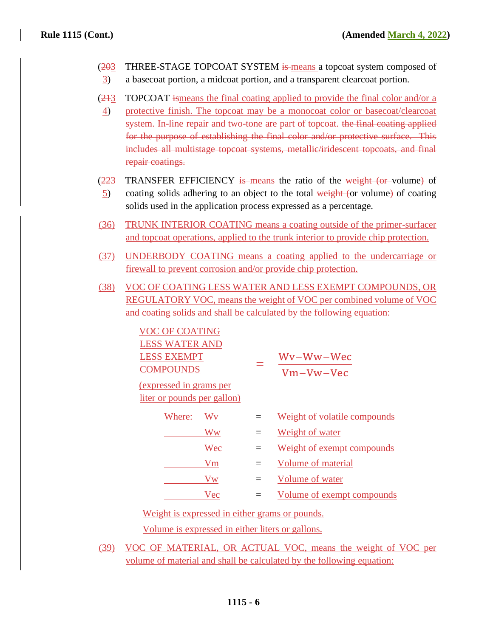- $(203)$ THREE-STAGE TOPCOAT SYSTEM is means a topcoat system composed of
- 3) a basecoat portion, a midcoat portion, and a transparent clearcoat portion.
- (213 TOPCOAT ismeans the final coating applied to provide the final color and/or a
- 4) protective finish. The topcoat may be a monocoat color or basecoat/clearcoat system. In-line repair and two-tone are part of topcoat. the final coating applied for the purpose of establishing the final color and/or protective surface. This includes all multistage topcoat systems, metallic/iridescent topcoats, and final repair coatings.
- (223 TRANSFER EFFICIENCY is means the ratio of the weight (or volume) of
- 5) coating solids adhering to an object to the total weight (or volume) of coating solids used in the application process expressed as a percentage.
- (36) TRUNK INTERIOR COATING means a coating outside of the primer-surfacer and topcoat operations, applied to the trunk interior to provide chip protection.
- (37) UNDERBODY COATING means a coating applied to the undercarriage or firewall to prevent corrosion and/or provide chip protection.
- (38) VOC OF COATING LESS WATER AND LESS EXEMPT COMPOUNDS, OR REGULATORY VOC, means the weight of VOC per combined volume of VOC and coating solids and shall be calculated by the following equation:

| <b>VOC OF COATING</b>          |                        |                              |
|--------------------------------|------------------------|------------------------------|
| <b>LESS WATER AND</b>          |                        |                              |
| <b>LESS EXEMPT</b>             |                        | Wy-Ww-Wec                    |
| <b>COMPOUNDS</b>               | <sup>-</sup> Vm-Vw-Vec |                              |
| <u>(expressed in grams per</u> |                        |                              |
| liter or pounds per gallon)    |                        |                              |
| Where:<br>Wv                   | $=$                    | Weight of volatile compounds |
| Ww                             | $=$                    | <b>Weight of water</b>       |
| Wec                            | $=$                    | Weight of exempt compounds   |
| $V_{\rm m}$                    | $=$                    | Volume of material           |
| <b>Vw</b>                      | $=$                    | Volume of water              |
| Vec                            | $=$                    | Volume of exempt compounds   |

Weight is expressed in either grams or pounds.

Volume is expressed in either liters or gallons.

(39) VOC OF MATERIAL, OR ACTUAL VOC, means the weight of VOC per volume of material and shall be calculated by the following equation: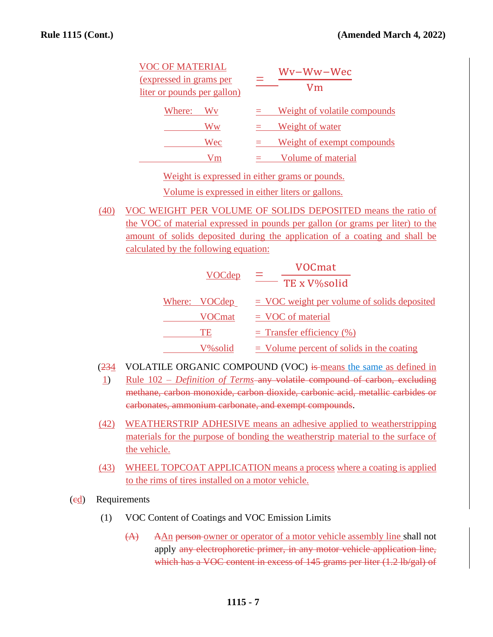| <b>VOC OF MATERIAL</b><br>(expressed in grams per<br>liter or pounds per gallon) | Wy-Ww-Wec<br>Vm              |
|----------------------------------------------------------------------------------|------------------------------|
| Where:<br>Wy                                                                     | Weight of volatile compounds |
| Ww                                                                               | <b>Weight of water</b>       |
| Wec                                                                              | Weight of exempt compounds   |
| Vm                                                                               | Volume of material           |

Weight is expressed in either grams or pounds. Volume is expressed in either liters or gallons.

(40) VOC WEIGHT PER VOLUME OF SOLIDS DEPOSITED means the ratio of the VOC of material expressed in pounds per gallon (or grams per liter) to the amount of solids deposited during the application of a coating and shall be calculated by the following equation:

|               | VOCmat                                           |
|---------------|--------------------------------------------------|
| <b>VOCdep</b> | TE x V%solid                                     |
| Where: VOCdep | $=$ VOC weight per volume of solids deposited    |
| VOCmat        | $=$ VOC of material                              |
| TE            | $=$ Transfer efficiency $(\%)$                   |
| V% solid      | $\equiv$ Volume percent of solids in the coating |

- (234 VOLATILE ORGANIC COMPOUND (VOC) is means the same as defined in
- 1) Rule 102 – *Definition of Terms* any volatile compound of carbon, excluding methane, carbon monoxide, carbon dioxide, carbonic acid, metallic carbides or carbonates, ammonium carbonate, and exempt compounds.
- (42) WEATHERSTRIP ADHESIVE means an adhesive applied to weatherstripping materials for the purpose of bonding the weatherstrip material to the surface of the vehicle.
- (43) WHEEL TOPCOAT APPLICATION means a process where a coating is applied to the rims of tires installed on a motor vehicle.
- (ed) Requirements
	- (1) VOC Content of Coatings and VOC Emission Limits
		- (A) AAn person owner or operator of a motor vehicle assembly line shall not apply any electrophoretic primer, in any motor vehicle application line, which has a VOC content in excess of 145 grams per liter (1.2 lb/gal) of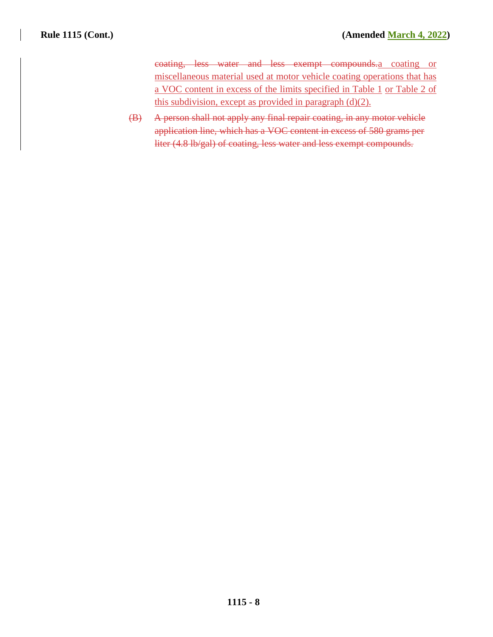coating, less water and less exempt compounds.a coating or miscellaneous material used at motor vehicle coating operations that has a VOC content in excess of the limits specified in Table 1 or Table 2 of this subdivision, except as provided in paragraph  $(d)(2)$ .

(B) A person shall not apply any final repair coating, in any motor vehicle application line, which has a VOC content in excess of 580 grams per liter (4.8 lb/gal) of coating, less water and less exempt compounds.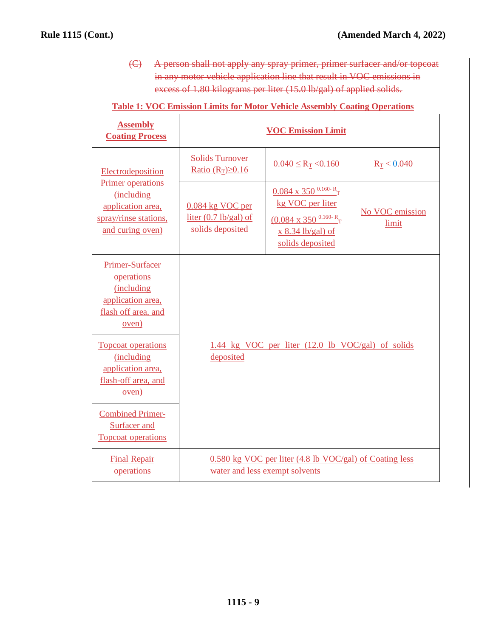(C) A person shall not apply any spray primer, primer surfacer and/or topcoat in any motor vehicle application line that result in VOC emissions in excess of 1.80 kilograms per liter (15.0 lb/gal) of applied solids.

## **Table 1: VOC Emission Limits for Motor Vehicle Assembly Coating Operations**

| <b>Assembly</b><br><b>Coating Process</b>                                                                        | <b>VOC Emission Limit</b>                                                                 |                                                                                                                                                         |                          |
|------------------------------------------------------------------------------------------------------------------|-------------------------------------------------------------------------------------------|---------------------------------------------------------------------------------------------------------------------------------------------------------|--------------------------|
| Electrodeposition                                                                                                | <b>Solids Turnover</b><br>Ratio $(R_T) \geq 0.16$                                         | $0.040 \leq R_T \leq 0.160$                                                                                                                             | $R_T < 0.040$            |
| <b>Primer operations</b><br><i>(including)</i><br>application area,<br>spray/rinse stations,<br>and curing oven) | $0.084$ kg VOC per<br>liter $(0.7 \text{ lb/gal})$ of<br>solids deposited                 | 0.084 x 350 $^{0.160}R_T$<br>kg VOC per liter<br>$\underbrace{(0.084 \times 350^{0.160} \text{ R}}_{\text{T}}$<br>x 8.34 lb/gal) of<br>solids deposited | No VOC emission<br>limit |
| Primer-Surfacer<br>operations<br>(including<br>application area,<br>flash off area, and<br>oven)                 |                                                                                           |                                                                                                                                                         |                          |
| <b>Topcoat operations</b><br><i>(including)</i><br>application area,<br>flash-off area, and<br>oven)             | 1.44 kg VOC per liter (12.0 lb VOC/gal) of solids<br>deposited                            |                                                                                                                                                         |                          |
| <b>Combined Primer-</b><br>Surfacer and<br><b>Topcoat operations</b>                                             |                                                                                           |                                                                                                                                                         |                          |
| <b>Final Repair</b><br>operations                                                                                | 0.580 kg VOC per liter (4.8 lb VOC/gal) of Coating less<br>water and less exempt solvents |                                                                                                                                                         |                          |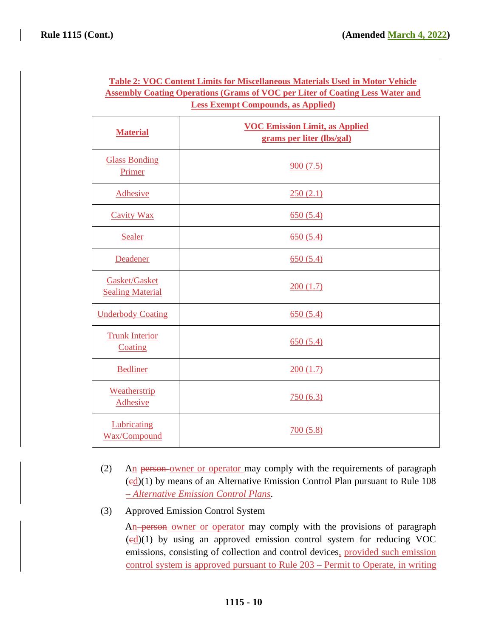# **Table 2: VOC Content Limits for Miscellaneous Materials Used in Motor Vehicle Assembly Coating Operations (Grams of VOC per Liter of Coating Less Water and Less Exempt Compounds, as Applied)**

| <b>Material</b>                          | <b>VOC Emission Limit, as Applied</b><br>grams per liter (lbs/gal) |
|------------------------------------------|--------------------------------------------------------------------|
| <b>Glass Bonding</b><br>Primer           | 900(7.5)                                                           |
| Adhesive                                 | 250(2.1)                                                           |
| <b>Cavity Wax</b>                        | 650(5.4)                                                           |
| Sealer                                   | 650(5.4)                                                           |
| Deadener                                 | 650(5.4)                                                           |
| Gasket/Gasket<br><b>Sealing Material</b> | 200(1.7)                                                           |
| <b>Underbody Coating</b>                 | 650(5.4)                                                           |
| <b>Trunk Interior</b><br>Coating         | 650(5.4)                                                           |
| <b>Bedliner</b>                          | 200(1.7)                                                           |
| Weatherstrip<br><b>Adhesive</b>          | 750(6.3)                                                           |
| Lubricating<br>Wax/Compound              | 700(5.8)                                                           |

- (2) An  $p$  person-owner or operator may comply with the requirements of paragraph  $\left(\frac{ed}{1}\right)$  by means of an Alternative Emission Control Plan pursuant to Rule 108 – *Alternative Emission Control Plans*.
- (3) Approved Emission Control System

An **person** owner or operator may comply with the provisions of paragraph  $\text{ (ed)}(1)$  by using an approved emission control system for reducing VOC emissions, consisting of collection and control devices, provided such emission control system is approved pursuant to Rule 203 – Permit to Operate, in writing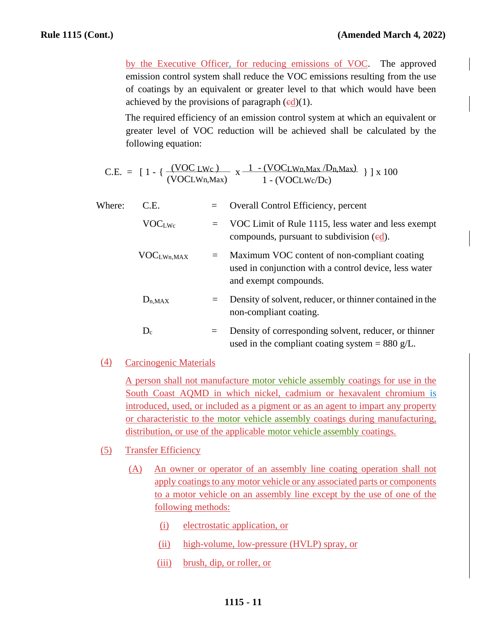by the Executive Officer, for reducing emissions of VOC. The approved emission control system shall reduce the VOC emissions resulting from the use of coatings by an equivalent or greater level to that which would have been achieved by the provisions of paragraph  $(\text{ed})(1)$ .

The required efficiency of an emission control system at which an equivalent or greater level of VOC reduction will be achieved shall be calculated by the following equation:

C.E. = 
$$
[1 - {\frac{(\text{VOC LWc})}{(\text{VOC LWn, Max})}} x \frac{1 - (\text{VOC LWn, Max}/Dn, Max)}{1 - (\text{VOC LWc}/Dc)}]
$$
 ] x 100

| Where: | C.E.               | $=$ $-$ | Overall Control Efficiency, percent                                                                                            |
|--------|--------------------|---------|--------------------------------------------------------------------------------------------------------------------------------|
|        | VOC <sub>LWe</sub> | $=$ $-$ | VOC Limit of Rule 1115, less water and less exempt<br>compounds, pursuant to subdivision $(\text{ed})$ .                       |
|        | VOCLWn, MAX        | $=$     | Maximum VOC content of non-compliant coating<br>used in conjunction with a control device, less water<br>and exempt compounds. |
|        | $D_{n,MAX}$        | $=$     | Density of solvent, reducer, or thinner contained in the<br>non-compliant coating.                                             |
|        | $D_c$              | $=$     | Density of corresponding solvent, reducer, or thinner<br>used in the compliant coating system = $880$ g/L.                     |

#### (4) Carcinogenic Materials

A person shall not manufacture motor vehicle assembly coatings for use in the South Coast AQMD in which nickel, cadmium or hexavalent chromium is introduced, used, or included as a pigment or as an agent to impart any property or characteristic to the motor vehicle assembly coatings during manufacturing, distribution, or use of the applicable motor vehicle assembly coatings.

- (5) Transfer Efficiency
	- (A) An owner or operator of an assembly line coating operation shall not apply coatings to any motor vehicle or any associated parts or components to a motor vehicle on an assembly line except by the use of one of the following methods:
		- (i) electrostatic application, or
		- (ii) high-volume, low-pressure (HVLP) spray, or
		- (iii) brush, dip, or roller, or

# **1115 - 11**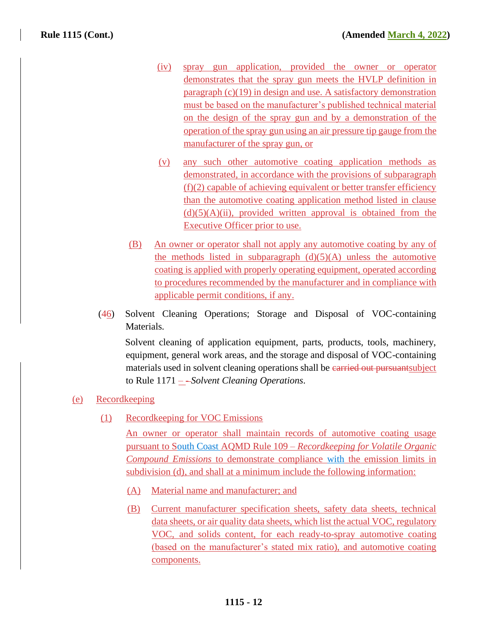- (iv) spray gun application, provided the owner or operator demonstrates that the spray gun meets the HVLP definition in paragraph (c)(19) in design and use. A satisfactory demonstration must be based on the manufacturer's published technical material on the design of the spray gun and by a demonstration of the operation of the spray gun using an air pressure tip gauge from the manufacturer of the spray gun, or
- (v) any such other automotive coating application methods as demonstrated, in accordance with the provisions of subparagraph (f)(2) capable of achieving equivalent or better transfer efficiency than the automotive coating application method listed in clause  $(d)(5)(A)(ii)$ , provided written approval is obtained from the Executive Officer prior to use.
- (B) An owner or operator shall not apply any automotive coating by any of the methods listed in subparagraph  $(d)(5)(A)$  unless the automotive coating is applied with properly operating equipment, operated according to procedures recommended by the manufacturer and in compliance with applicable permit conditions, if any.
- (46) Solvent Cleaning Operations; Storage and Disposal of VOC-containing Materials.

Solvent cleaning of application equipment, parts, products, tools, machinery, equipment, general work areas, and the storage and disposal of VOC-containing materials used in solvent cleaning operations shall be carried out pursuantsubject to Rule 1171 – *- Solvent Cleaning Operations*.

# (e) Recordkeeping

(1) Recordkeeping for VOC Emissions

An owner or operator shall maintain records of automotive coating usage pursuant to South Coast AQMD Rule 109 – *Recordkeeping for Volatile Organic Compound Emissions* to demonstrate compliance with the emission limits in subdivision (d), and shall at a minimum include the following information:

- (A) Material name and manufacturer; and
- (B) Current manufacturer specification sheets, safety data sheets, technical data sheets, or air quality data sheets, which list the actual VOC, regulatory VOC, and solids content, for each ready-to-spray automotive coating (based on the manufacturer's stated mix ratio), and automotive coating components.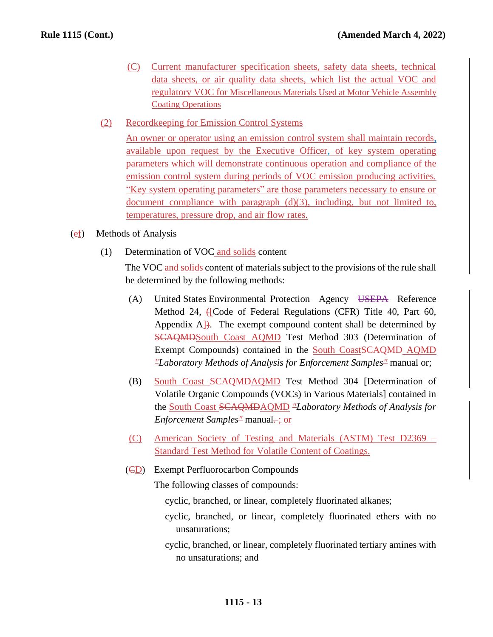- (C) Current manufacturer specification sheets, safety data sheets, technical data sheets, or air quality data sheets, which list the actual VOC and regulatory VOC for Miscellaneous Materials Used at Motor Vehicle Assembly Coating Operations
- (2) Recordkeeping for Emission Control Systems

An owner or operator using an emission control system shall maintain records, available upon request by the Executive Officer, of key system operating parameters which will demonstrate continuous operation and compliance of the emission control system during periods of VOC emission producing activities. "Key system operating parameters" are those parameters necessary to ensure or document compliance with paragraph (d)(3), including, but not limited to, temperatures, pressure drop, and air flow rates.

- $(ef)$  Methods of Analysis
	- (1) Determination of VOC and solids content

The VOC and solids content of materials subject to the provisions of the rule shall be determined by the following methods:

- (A) United States Environmental Protection Agency USEPA Reference Method 24, ([Code of Federal Regulations (CFR) Title 40, Part 60, Appendix  $A$ . The exempt compound content shall be determined by SCAQMDSouth Coast AQMD Test Method 303 (Determination of Exempt Compounds) contained in the South Coast SCAOMD AOMD *"Laboratory Methods of Analysis for Enforcement Samples"* manual or;
- (B) South Coast SCAQMDAQMD Test Method 304 [Determination of Volatile Organic Compounds (VOCs) in Various Materials] contained in the South Coast SCAQMDAQMD *"Laboratory Methods of Analysis for Enforcement Samples*<sup>"</sup> manual-; or
- (C) American Society of Testing and Materials (ASTM) Test D2369 Standard Test Method for Volatile Content of Coatings.
- (CD) Exempt Perfluorocarbon Compounds

The following classes of compounds:

- cyclic, branched, or linear, completely fluorinated alkanes;
- cyclic, branched, or linear, completely fluorinated ethers with no unsaturations;
- cyclic, branched, or linear, completely fluorinated tertiary amines with no unsaturations; and

# **1115 - 13**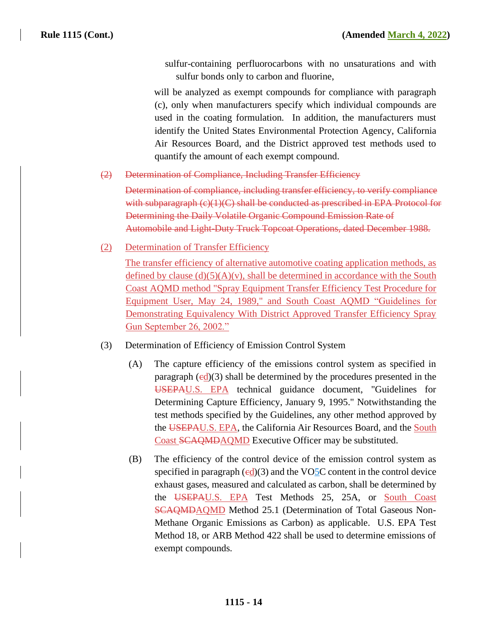sulfur-containing perfluorocarbons with no unsaturations and with sulfur bonds only to carbon and fluorine,

will be analyzed as exempt compounds for compliance with paragraph (c), only when manufacturers specify which individual compounds are used in the coating formulation. In addition, the manufacturers must identify the United States Environmental Protection Agency, California Air Resources Board, and the District approved test methods used to quantify the amount of each exempt compound.

(2) Determination of Compliance, Including Transfer Efficiency

Determination of compliance, including transfer efficiency, to verify compliance with subparagraph (c)(1)(C) shall be conducted as prescribed in EPA Protocol for Determining the Daily Volatile Organic Compound Emission Rate of Automobile and Light-Duty Truck Topcoat Operations, dated December 1988.

(2) Determination of Transfer Efficiency

The transfer efficiency of alternative automotive coating application methods, as defined by clause  $(d)(5)(A)(v)$ , shall be determined in accordance with the South Coast AQMD method "Spray Equipment Transfer Efficiency Test Procedure for Equipment User, May 24, 1989," and South Coast AQMD "Guidelines for Demonstrating Equivalency With District Approved Transfer Efficiency Spray Gun September 26, 2002."

- (3) Determination of Efficiency of Emission Control System
	- (A) The capture efficiency of the emissions control system as specified in paragraph  $(ed)(3)$  shall be determined by the procedures presented in the USEPAU.S. EPA technical guidance document, "Guidelines for Determining Capture Efficiency, January 9, 1995." Notwithstanding the test methods specified by the Guidelines, any other method approved by the USEPAU.S. EPA, the California Air Resources Board, and the South Coast SCAQMDAQMD Executive Officer may be substituted.
	- (B) The efficiency of the control device of the emission control system as specified in paragraph  $(\text{ed})(3)$  and the VO<sub>2</sub>C content in the control device exhaust gases, measured and calculated as carbon, shall be determined by the USEPAU.S. EPA Test Methods 25, 25A, or South Coast SCAQMDAQMD Method 25.1 (Determination of Total Gaseous Non-Methane Organic Emissions as Carbon) as applicable. U.S. EPA Test Method 18, or ARB Method 422 shall be used to determine emissions of exempt compounds.